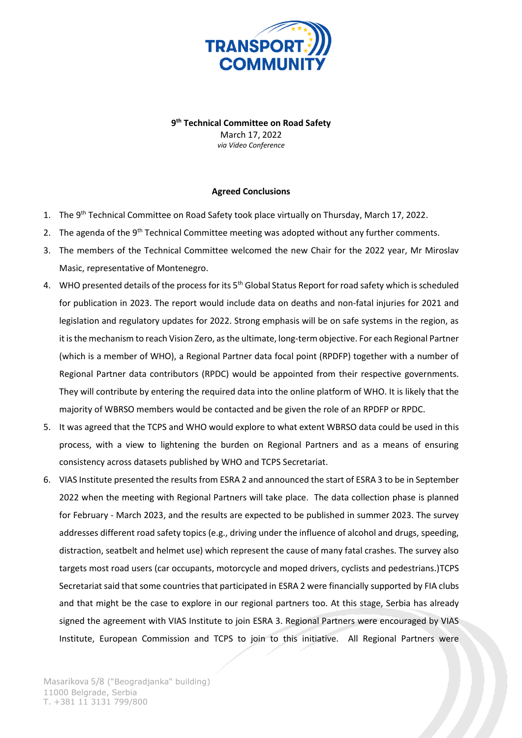

**9 th Technical Committee on Road Safety** March 17, 2022 *via Video Conference*

## **Agreed Conclusions**

- 1. The 9<sup>th</sup> Technical Committee on Road Safety took place virtually on Thursday, March 17, 2022.
- 2. The agenda of the  $9<sup>th</sup>$  Technical Committee meeting was adopted without any further comments.
- 3. The members of the Technical Committee welcomed the new Chair for the 2022 year, Mr Miroslav Masic, representative of Montenegro.
- 4. WHO presented details of the process for its 5<sup>th</sup> Global Status Report for road safety which is scheduled for publication in 2023. The report would include data on deaths and non-fatal injuries for 2021 and legislation and regulatory updates for 2022. Strong emphasis will be on safe systems in the region, as it is the mechanism to reach Vision Zero, as the ultimate, long-term objective. For each Regional Partner (which is a member of WHO), a Regional Partner data focal point (RPDFP) together with a number of Regional Partner data contributors (RPDC) would be appointed from their respective governments. They will contribute by entering the required data into the online platform of WHO. It is likely that the majority of WBRSO members would be contacted and be given the role of an RPDFP or RPDC.
- 5. It was agreed that the TCPS and WHO would explore to what extent WBRSO data could be used in this process, with a view to lightening the burden on Regional Partners and as a means of ensuring consistency across datasets published by WHO and TCPS Secretariat.
- 6. VIAS Institute presented the results from ESRA 2 and announced the start of ESRA 3 to be in September 2022 when the meeting with Regional Partners will take place. The data collection phase is planned for February - March 2023, and the results are expected to be published in summer 2023. The survey addresses different road safety topics (e.g., driving under the influence of alcohol and drugs, speeding, distraction, seatbelt and helmet use) which represent the cause of many fatal crashes. The survey also targets most road users (car occupants, motorcycle and moped drivers, cyclists and pedestrians.)TCPS Secretariat said that some countries that participated in ESRA 2 were financially supported by FIA clubs and that might be the case to explore in our regional partners too. At this stage, Serbia has already signed the agreement with VIAS Institute to join ESRA 3. Regional Partners were encouraged by VIAS Institute, European Commission and TCPS to join to this initiative. All Regional Partners were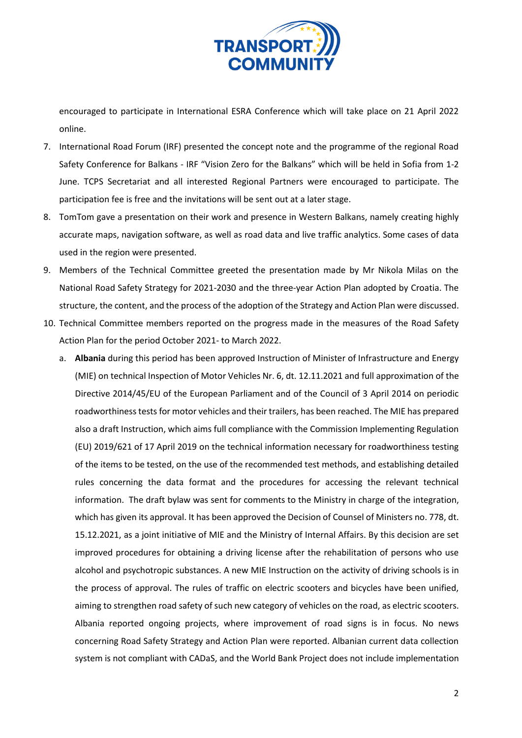

encouraged to participate in International ESRA Conference which will take place on 21 April 2022 online.

- 7. International Road Forum (IRF) presented the concept note and the programme of the regional Road Safety Conference for Balkans - IRF "Vision Zero for the Balkans" which will be held in Sofia from 1-2 June. TCPS Secretariat and all interested Regional Partners were encouraged to participate. The participation fee is free and the invitations will be sent out at a later stage.
- 8. TomTom gave a presentation on their work and presence in Western Balkans, namely creating highly accurate maps, navigation software, as well as road data and live traffic analytics. Some cases of data used in the region were presented.
- 9. Members of the Technical Committee greeted the presentation made by Mr Nikola Milas on the National Road Safety Strategy for 2021-2030 and the three-year Action Plan adopted by Croatia. The structure, the content, and the process of the adoption of the Strategy and Action Plan were discussed.
- 10. Technical Committee members reported on the progress made in the measures of the Road Safety Action Plan for the period October 2021- to March 2022.
	- a. **Albania** during this period has been approved Instruction of Minister of Infrastructure and Energy (MIE) on technical Inspection of Motor Vehicles Nr. 6, dt. 12.11.2021 and full approximation of the Directive 2014/45/EU of the European Parliament and of the Council of 3 April 2014 on periodic roadworthiness tests for motor vehicles and their trailers, has been reached. The MIE has prepared also a draft Instruction, which aims full compliance with the Commission Implementing Regulation (EU) 2019/621 of 17 April 2019 on the technical information necessary for roadworthiness testing of the items to be tested, on the use of the recommended test methods, and establishing detailed rules concerning the data format and the procedures for accessing the relevant technical information. The draft bylaw was sent for comments to the Ministry in charge of the integration, which has given its approval. It has been approved the Decision of Counsel of Ministers no. 778, dt. 15.12.2021, as a joint initiative of MIE and the Ministry of Internal Affairs. By this decision are set improved procedures for obtaining a driving license after the rehabilitation of persons who use alcohol and psychotropic substances. A new MIE Instruction on the activity of driving schools is in the process of approval. The rules of traffic on electric scooters and bicycles have been unified, aiming to strengthen road safety of such new category of vehicles on the road, as electric scooters. Albania reported ongoing projects, where improvement of road signs is in focus. No news concerning Road Safety Strategy and Action Plan were reported. Albanian current data collection system is not compliant with CADaS, and the World Bank Project does not include implementation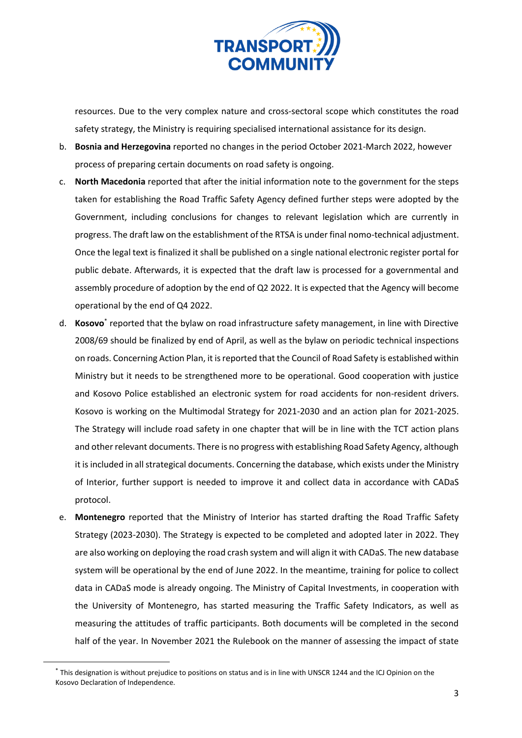

resources. Due to the very complex nature and cross-sectoral scope which constitutes the road safety strategy, the Ministry is requiring specialised international assistance for its design.

- b. **Bosnia and Herzegovina** reported no changes in the period October 2021-March 2022, however process of preparing certain documents on road safety is ongoing.
- c. **North Macedonia** reported that after the initial information note to the government for the steps taken for establishing the Road Traffic Safety Agency defined further steps were adopted by the Government, including conclusions for changes to relevant legislation which are currently in progress. The draft law on the establishment of the RTSA is under final nomo-technical adjustment. Once the legal text is finalized it shall be published on a single national electronic register portal for public debate. Afterwards, it is expected that the draft law is processed for a governmental and assembly procedure of adoption by the end of Q2 2022. It is expected that the Agency will become operational by the end of Q4 2022.
- d. **Kosovo**\* reported that the bylaw on road infrastructure safety management, in line with Directive 2008/69 should be finalized by end of April, as well as the bylaw on periodic technical inspections on roads. Concerning Action Plan, it is reported that the Council of Road Safety is established within Ministry but it needs to be strengthened more to be operational. Good cooperation with justice and Kosovo Police established an electronic system for road accidents for non-resident drivers. Kosovo is working on the Multimodal Strategy for 2021-2030 and an action plan for 2021-2025. The Strategy will include road safety in one chapter that will be in line with the TCT action plans and other relevant documents. There is no progress with establishing Road Safety Agency, although it is included in all strategical documents. Concerning the database, which exists under the Ministry of Interior, further support is needed to improve it and collect data in accordance with CADaS protocol.
- e. **Montenegro** reported that the Ministry of Interior has started drafting the Road Traffic Safety Strategy (2023-2030). The Strategy is expected to be completed and adopted later in 2022. They are also working on deploying the road crash system and will align it with CADaS. The new database system will be operational by the end of June 2022. In the meantime, training for police to collect data in CADaS mode is already ongoing. The Ministry of Capital Investments, in cooperation with the University of Montenegro, has started measuring the Traffic Safety Indicators, as well as measuring the attitudes of traffic participants. Both documents will be completed in the second half of the year. In November 2021 the Rulebook on the manner of assessing the impact of state

<sup>\*</sup> This designation is without prejudice to positions on status and is in line with UNSCR 1244 and the ICJ Opinion on the Kosovo Declaration of Independence.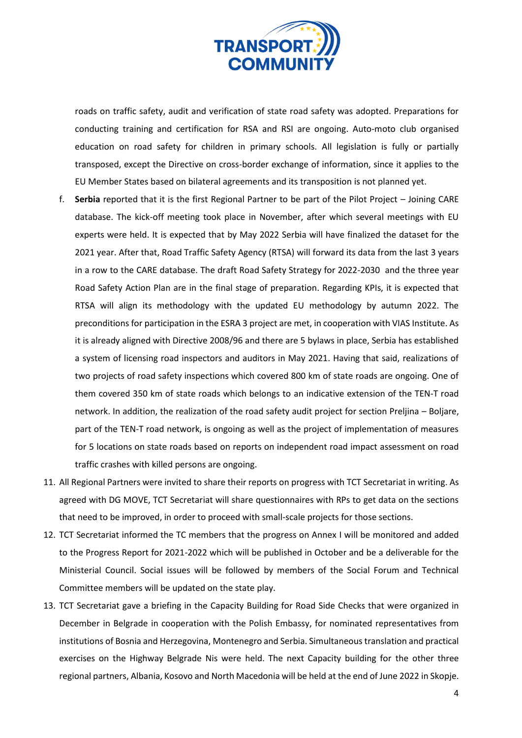

roads on traffic safety, audit and verification of state road safety was adopted. Preparations for conducting training and certification for RSA and RSI are ongoing. Auto-moto club organised education on road safety for children in primary schools. All legislation is fully or partially transposed, except the Directive on cross-border exchange of information, since it applies to the EU Member States based on bilateral agreements and its transposition is not planned yet.

- f. **Serbia** reported that it is the first Regional Partner to be part of the Pilot Project Joining CARE database. The kick-off meeting took place in November, after which several meetings with EU experts were held. It is expected that by May 2022 Serbia will have finalized the dataset for the 2021 year. After that, Road Traffic Safety Agency (RTSA) will forward its data from the last 3 years in a row to the CARE database. The draft Road Safety Strategy for 2022-2030 and the three year Road Safety Action Plan are in the final stage of preparation. Regarding KPIs, it is expected that RTSA will align its methodology with the updated EU methodology by autumn 2022. The preconditions for participation in the ESRA 3 project are met, in cooperation with VIAS Institute. As it is already aligned with Directive 2008/96 and there are 5 bylaws in place, Serbia has established a system of licensing road inspectors and auditors in May 2021. Having that said, realizations of two projects of road safety inspections which covered 800 km of state roads are ongoing. One of them covered 350 km of state roads which belongs to an indicative extension of the TEN-T road network. In addition, the realization of the road safety audit project for section Preljina – Boljare, part of the TEN-T road network, is ongoing as well as the project of implementation of measures for 5 locations on state roads based on reports on independent road impact assessment on road traffic crashes with killed persons are ongoing.
- 11. All Regional Partners were invited to share their reports on progress with TCT Secretariat in writing. As agreed with DG MOVE, TCT Secretariat will share questionnaires with RPs to get data on the sections that need to be improved, in order to proceed with small-scale projects for those sections.
- 12. TCT Secretariat informed the TC members that the progress on Annex I will be monitored and added to the Progress Report for 2021-2022 which will be published in October and be a deliverable for the Ministerial Council. Social issues will be followed by members of the Social Forum and Technical Committee members will be updated on the state play.
- 13. TCT Secretariat gave a briefing in the Capacity Building for Road Side Checks that were organized in December in Belgrade in cooperation with the Polish Embassy, for nominated representatives from institutions of Bosnia and Herzegovina, Montenegro and Serbia. Simultaneous translation and practical exercises on the Highway Belgrade Nis were held. The next Capacity building for the other three regional partners, Albania, Kosovo and North Macedonia will be held at the end of June 2022 in Skopje.